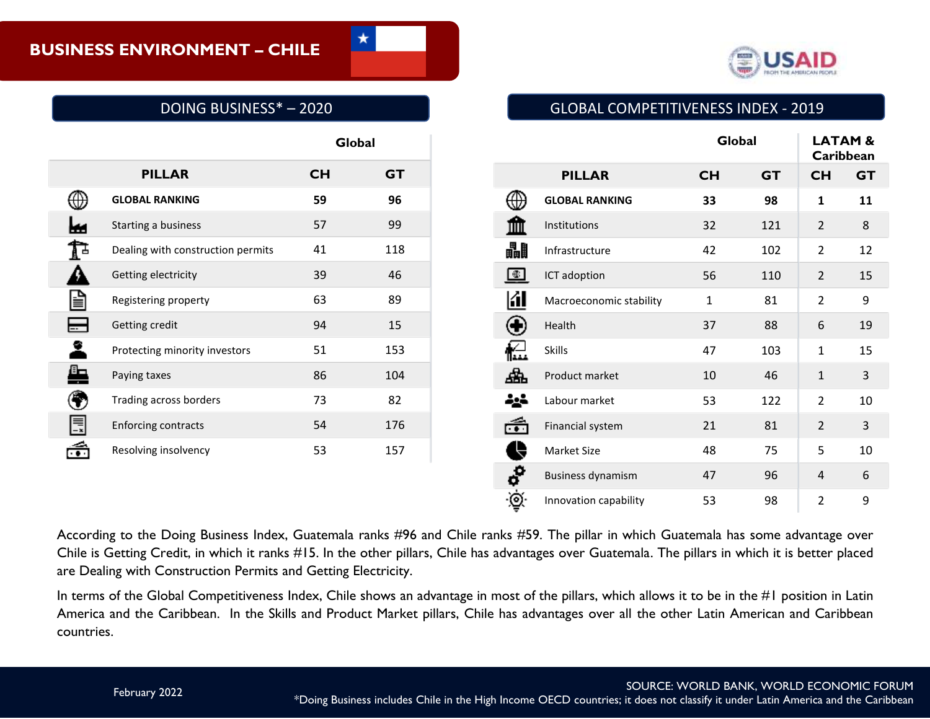

# DOING BUSINESS\* – 2020

|   |                                   | Global    |           |
|---|-----------------------------------|-----------|-----------|
|   | <b>PILLAR</b>                     | <b>CH</b> | <b>GT</b> |
| ⊕ | <b>GLOBAL RANKING</b>             | 59        | 96        |
|   | Starting a business               | 57        | 99        |
|   | Dealing with construction permits | 41        | 118       |
|   | Getting electricity               | 39        | 46        |
|   | Registering property              | 63        | 89        |
|   | Getting credit                    | 94        | 15        |
|   | Protecting minority investors     | 51        | 153       |
|   | Paying taxes                      | 86        | 104       |
|   | Trading across borders            | 73        | 82        |
|   | Enforcing contracts               | 54        | 176       |
|   | Resolving insolvency              | 53        | 157       |
|   |                                   |           |           |
|   |                                   |           |           |

According to the Doing Business Index, Guatemala ranks #96 and Chile ranks #59. The pillar in which Guatemala has some advantage over Chile is Getting Credit, in which it ranks #15. In the other pillars, Chile has advantages over Guatemala. The pillars in which it is better placed are Dealing with Construction Permits and Getting Electricity.

In terms of the Global Competitiveness Index, Chile shows an advantage in most of the pillars, which allows it to be in the #1 position in Latin America and the Caribbean. In the Skills and Product Market pillars, Chile has advantages over all the other Latin American and Caribbean countries.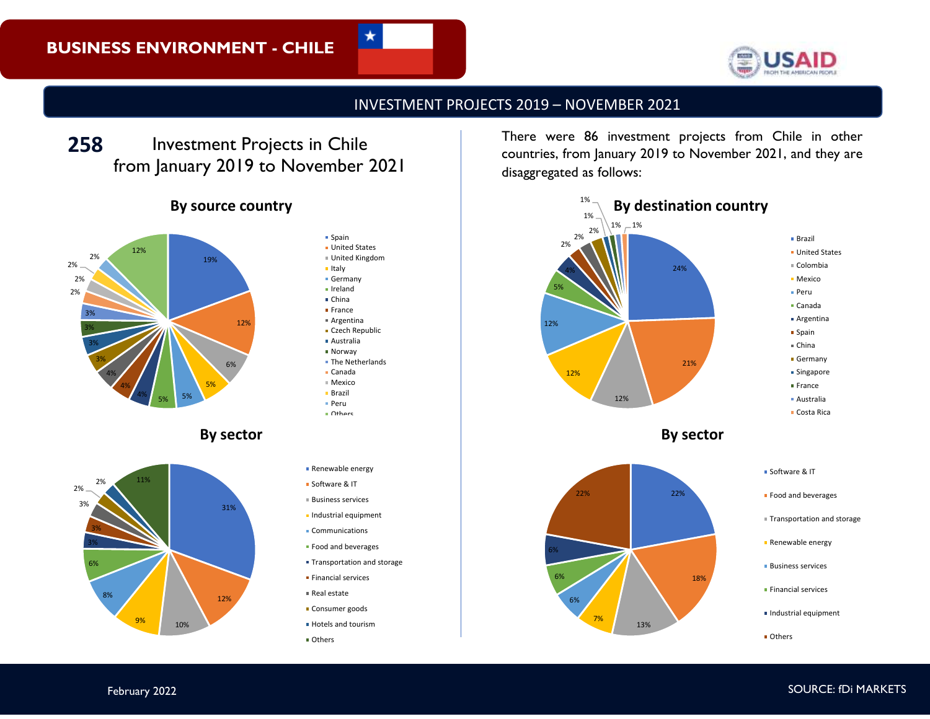

## INVESTMENT PROJECTS 2019 – NOVEMBER 2021

Investment Projects in Chile from January 2019 to November 2021 **258**

### **By source country**







**Spain United States** United Kingdom Italy **Germany** Ireland ■ China **France** Argentina **Czech Republic** Australia Norway **The Netherlands** Canada Mexico Brazil Peru Others **Renewable energy** Software & IT Business services

★

- **Industrial equipment**
- Communications **Food and beverages**
- 
- **Transportation and storage**
- **Financial services**
- Real estate
- **Consumer goods**
- **Hotels and tourism**
- Others

There were 86 investment projects from Chile in other countries, from January 2019 to November 2021, and they are disaggregated as follows:







- **Food and beverages**
- Transportation and storage
- **Renewable energy**
- **Business services**
- **Financial services**
- Industrial equipment
- Others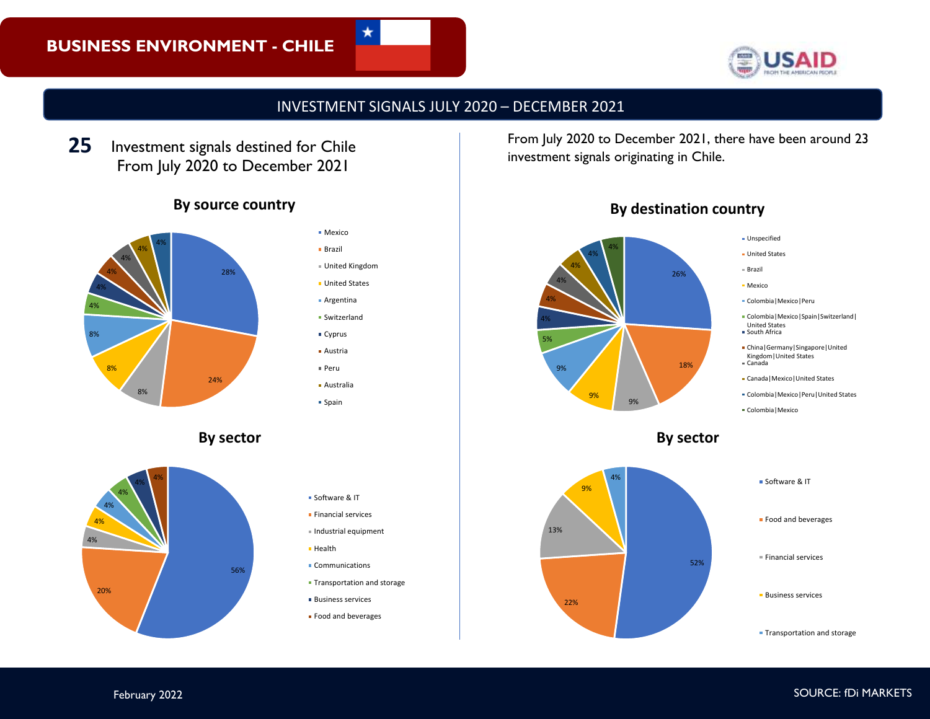

# INVESTMENT SIGNALS JULY 2020 – DECEMBER 2021

Investment signals destined for Chile From July 2020 to December 2021 **25**

#### **By source country**



**By sector**





★

**Spain** 

Software & IT **Financial services**  $\blacksquare$  Industrial equipment

**Communications** 

**Transportation and storage Business services Food and beverages** 

**Health** 

investment signals originating in Chile.



**By destination country**

From July 2020 to December 2021, there have been around 23





**Transportation and storage**